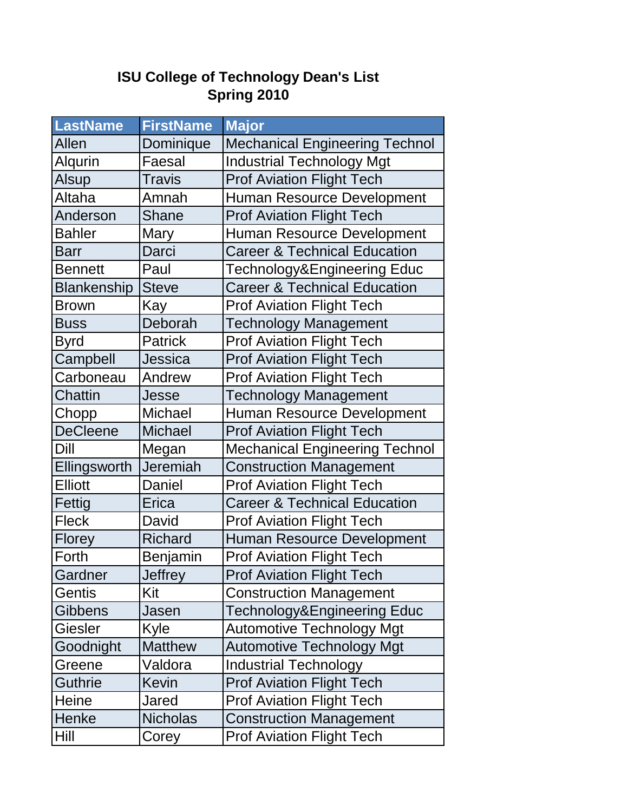## **ISU College of Technology Dean's List Spring 2010**

| <b>LastName</b>    | <b>FirstName</b> | <b>Major</b>                            |
|--------------------|------------------|-----------------------------------------|
| Allen              | Dominique        | <b>Mechanical Engineering Technol</b>   |
| Alqurin            | Faesal           | <b>Industrial Technology Mgt</b>        |
| <b>Alsup</b>       | <b>Travis</b>    | <b>Prof Aviation Flight Tech</b>        |
| Altaha             | Amnah            | <b>Human Resource Development</b>       |
| Anderson           | Shane            | <b>Prof Aviation Flight Tech</b>        |
| <b>Bahler</b>      | Mary             | Human Resource Development              |
| <b>Barr</b>        | Darci            | <b>Career &amp; Technical Education</b> |
| <b>Bennett</b>     | Paul             | Technology&Engineering Educ             |
| <b>Blankenship</b> | <b>Steve</b>     | <b>Career &amp; Technical Education</b> |
| <b>Brown</b>       | Kay              | <b>Prof Aviation Flight Tech</b>        |
| <b>Buss</b>        | Deborah          | <b>Technology Management</b>            |
| <b>Byrd</b>        | <b>Patrick</b>   | <b>Prof Aviation Flight Tech</b>        |
| Campbell           | Jessica          | <b>Prof Aviation Flight Tech</b>        |
| Carboneau          | Andrew           | <b>Prof Aviation Flight Tech</b>        |
| Chattin            | Jesse            | <b>Technology Management</b>            |
| Chopp              | <b>Michael</b>   | <b>Human Resource Development</b>       |
| <b>DeCleene</b>    | <b>Michael</b>   | <b>Prof Aviation Flight Tech</b>        |
| Dill               | Megan            | <b>Mechanical Engineering Technol</b>   |
| Ellingsworth       | Jeremiah         | <b>Construction Management</b>          |
| <b>Elliott</b>     | Daniel           | <b>Prof Aviation Flight Tech</b>        |
| Fettig             | Erica            | <b>Career &amp; Technical Education</b> |
| <b>Fleck</b>       | David            | <b>Prof Aviation Flight Tech</b>        |
| <b>Florey</b>      | <b>Richard</b>   | <b>Human Resource Development</b>       |
| Forth              | Benjamin         | <b>Prof Aviation Flight Tech</b>        |
| Gardner            | Jeffrey          | <b>Prof Aviation Flight Tech</b>        |
| Gentis             | Kit              | <b>Construction Management</b>          |
| <b>Gibbens</b>     | Jasen            | Technology&Engineering Educ             |
| <b>Giesler</b>     | Kyle             | <b>Automotive Technology Mgt</b>        |
| Goodnight          | <b>Matthew</b>   | <b>Automotive Technology Mgt</b>        |
| Greene             | Valdora          | <b>Industrial Technology</b>            |
| <b>Guthrie</b>     | Kevin            | <b>Prof Aviation Flight Tech</b>        |
| Heine              | Jared            | <b>Prof Aviation Flight Tech</b>        |
| Henke              | <b>Nicholas</b>  | <b>Construction Management</b>          |
| Hill               | Corey            | <b>Prof Aviation Flight Tech</b>        |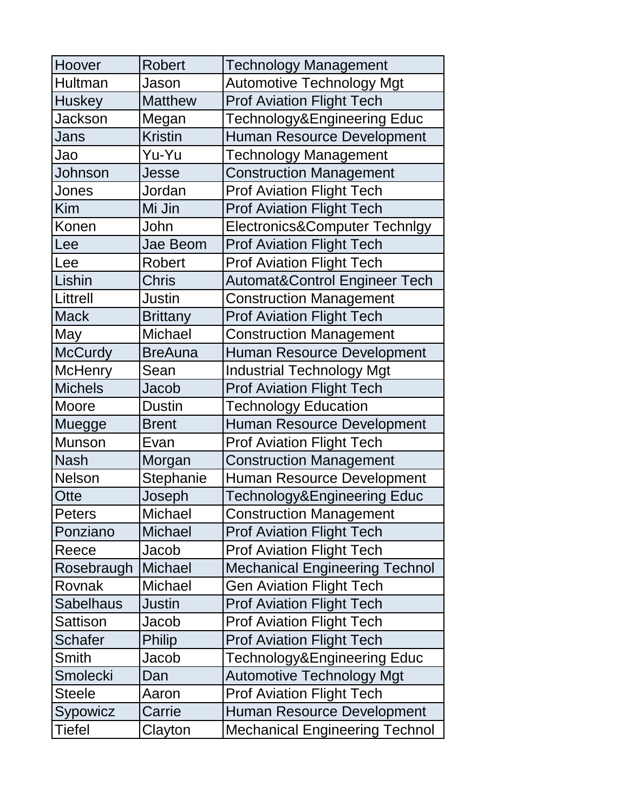| Hoover           | <b>Robert</b>   | <b>Technology Management</b>             |
|------------------|-----------------|------------------------------------------|
| <b>Hultman</b>   | Jason           | <b>Automotive Technology Mgt</b>         |
| <b>Huskey</b>    | <b>Matthew</b>  | <b>Prof Aviation Flight Tech</b>         |
| <b>Jackson</b>   | Megan           | Technology&Engineering Educ              |
| Jans             | <b>Kristin</b>  | Human Resource Development               |
| Jao              | Yu-Yu           | <b>Technology Management</b>             |
| Johnson          | Jesse           | <b>Construction Management</b>           |
| Jones            | Jordan          | <b>Prof Aviation Flight Tech</b>         |
| Kim              | Mi Jin          | <b>Prof Aviation Flight Tech</b>         |
| Konen            | John            | Electronics&Computer Technlgy            |
| Lee              | Jae Beom        | <b>Prof Aviation Flight Tech</b>         |
| Lee              | Robert          | <b>Prof Aviation Flight Tech</b>         |
| Lishin           | <b>Chris</b>    | <b>Automat&amp;Control Engineer Tech</b> |
| Littrell         | Justin          | <b>Construction Management</b>           |
| <b>Mack</b>      | <b>Brittany</b> | <b>Prof Aviation Flight Tech</b>         |
| May              | <b>Michael</b>  | <b>Construction Management</b>           |
| <b>McCurdy</b>   | <b>BreAuna</b>  | Human Resource Development               |
| <b>McHenry</b>   | Sean            | <b>Industrial Technology Mgt</b>         |
| <b>Michels</b>   | Jacob           | <b>Prof Aviation Flight Tech</b>         |
| Moore            | <b>Dustin</b>   | <b>Technology Education</b>              |
| Muegge           | <b>Brent</b>    | <b>Human Resource Development</b>        |
|                  |                 |                                          |
| <b>Munson</b>    | Evan            | <b>Prof Aviation Flight Tech</b>         |
| <b>Nash</b>      | Morgan          | <b>Construction Management</b>           |
| <b>Nelson</b>    | Stephanie       | Human Resource Development               |
| Otte             | Joseph          | Technology&Engineering Educ              |
| <b>Peters</b>    | Michael         | <b>Construction Management</b>           |
| Ponziano         | <b>Michael</b>  | <b>Prof Aviation Flight Tech</b>         |
| Reece            | Jacob           | <b>Prof Aviation Flight Tech</b>         |
| Rosebraugh       | <b>Michael</b>  | <b>Mechanical Engineering Technol</b>    |
| Rovnak           | <b>Michael</b>  | <b>Gen Aviation Flight Tech</b>          |
| <b>Sabelhaus</b> | <b>Justin</b>   | <b>Prof Aviation Flight Tech</b>         |
| Sattison         | Jacob           | <b>Prof Aviation Flight Tech</b>         |
| <b>Schafer</b>   | <b>Philip</b>   | <b>Prof Aviation Flight Tech</b>         |
| Smith            | Jacob           | Technology&Engineering Educ              |
| Smolecki         | Dan             | <b>Automotive Technology Mgt</b>         |
| <b>Steele</b>    | Aaron           | <b>Prof Aviation Flight Tech</b>         |
| Sypowicz         | Carrie          | Human Resource Development               |